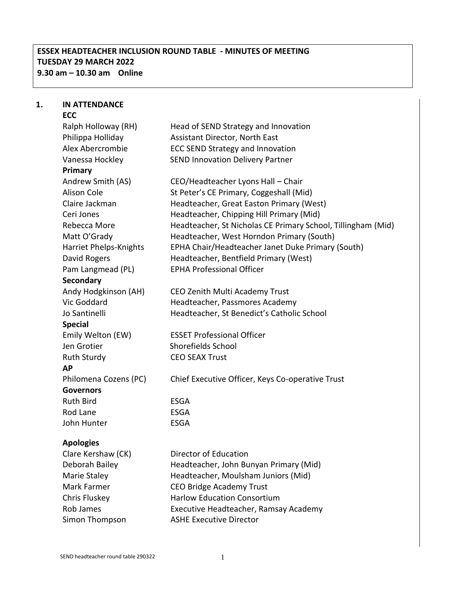# **ESSEX HEADTEACHER INCLUSION ROUND TABLE - MINUTES OF MEETING TUESDAY 29 MARCH 2022 9.30 am – 10.30 am Online**

#### **1. IN ATTENDANCE ECC**

Ralph Holloway (RH) Head of SEND Strategy and Innovation Philippa Holliday **Assistant Director, North East** Alex Abercrombie ECC SEND Strategy and Innovation Vanessa Hockley SEND Innovation Delivery Partner **Primary** Andrew Smith (AS) CEO/Headteacher Lyons Hall – Chair Alison Cole St Peter's CE Primary, Coggeshall (Mid) Claire Jackman Headteacher, Great Easton Primary (West) Ceri Jones Headteacher, Chipping Hill Primary (Mid) Rebecca More Headteacher, St Nicholas CE Primary School, Tillingham (Mid) Matt O'Grady **Headteacher, West Horndon Primary (South)** Harriet Phelps-Knights EPHA Chair/Headteacher Janet Duke Primary (South) David Rogers **Headteacher, Bentfield Primary (West)** Pam Langmead (PL) EPHA Professional Officer **Secondary** Andy Hodgkinson (AH) CEO Zenith Multi Academy Trust Vic Goddard Headteacher, Passmores Academy Jo Santinelli Headteacher, St Benedict's Catholic School **Special**  Emily Welton (EW) ESSET Professional Officer Jen Grotier Shorefields School Ruth Sturdy CEO SEAX Trust **AP** Philomena Cozens (PC) Chief Executive Officer, Keys Co-operative Trust **Governors** Ruth Bird ESGA Rod Lane **ESGA** John Hunter ESGA **Apologies** Clare Kershaw (CK) Director of Education Deborah Bailey Headteacher, John Bunyan Primary (Mid) Marie Staley **Headteacher, Moulsham Juniors (Mid)** Mark Farmer CEO Bridge Academy Trust Chris Fluskey Harlow Education Consortium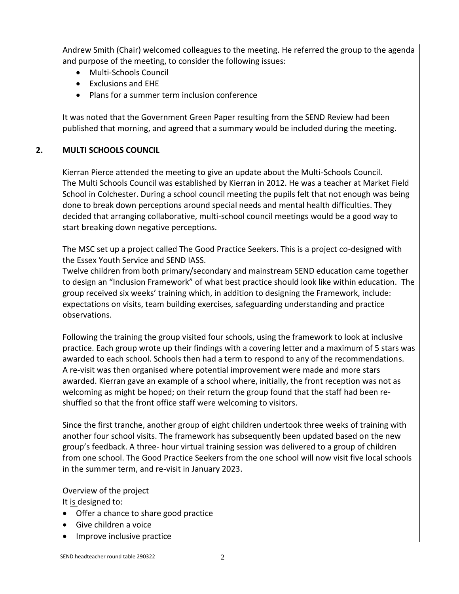Andrew Smith (Chair) welcomed colleagues to the meeting. He referred the group to the agenda and purpose of the meeting, to consider the following issues:

- Multi-Schools Council
- Exclusions and EHE
- Plans for a summer term inclusion conference

It was noted that the Government Green Paper resulting from the SEND Review had been published that morning, and agreed that a summary would be included during the meeting.

## **2. MULTI SCHOOLS COUNCIL**

Kierran Pierce attended the meeting to give an update about the Multi-Schools Council. The Multi Schools Council was established by Kierran in 2012. He was a teacher at Market Field School in Colchester. During a school council meeting the pupils felt that not enough was being done to break down perceptions around special needs and mental health difficulties. They decided that arranging collaborative, multi-school council meetings would be a good way to start breaking down negative perceptions.

The MSC set up a project called The Good Practice Seekers. This is a project co-designed with the Essex Youth Service and SEND IASS.

Twelve children from both primary/secondary and mainstream SEND education came together to design an "Inclusion Framework" of what best practice should look like within education. The group received six weeks' training which, in addition to designing the Framework, include: expectations on visits, team building exercises, safeguarding understanding and practice observations.

Following the training the group visited four schools, using the framework to look at inclusive practice. Each group wrote up their findings with a covering letter and a maximum of 5 stars was awarded to each school. Schools then had a term to respond to any of the recommendations. A re-visit was then organised where potential improvement were made and more stars awarded. Kierran gave an example of a school where, initially, the front reception was not as welcoming as might be hoped; on their return the group found that the staff had been reshuffled so that the front office staff were welcoming to visitors.

Since the first tranche, another group of eight children undertook three weeks of training with another four school visits. The framework has subsequently been updated based on the new group's feedback. A three- hour virtual training session was delivered to a group of children from one school. The Good Practice Seekers from the one school will now visit five local schools in the summer term, and re-visit in January 2023.

Overview of the project

It is designed to:

- Offer a chance to share good practice
- Give children a voice
- Improve inclusive practice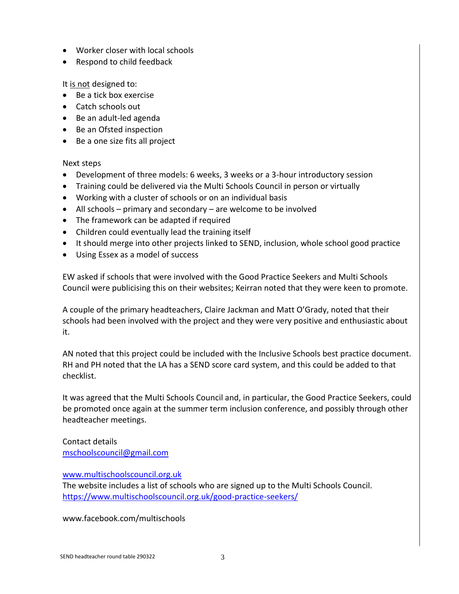- Worker closer with local schools
- Respond to child feedback

It is not designed to:

- Be a tick box exercise
- Catch schools out
- Be an adult-led agenda
- Be an Ofsted inspection
- Be a one size fits all project

### Next steps

- Development of three models: 6 weeks, 3 weeks or a 3-hour introductory session
- Training could be delivered via the Multi Schools Council in person or virtually
- Working with a cluster of schools or on an individual basis
- All schools primary and secondary are welcome to be involved
- The framework can be adapted if required
- Children could eventually lead the training itself
- It should merge into other projects linked to SEND, inclusion, whole school good practice
- Using Essex as a model of success

EW asked if schools that were involved with the Good Practice Seekers and Multi Schools Council were publicising this on their websites; Keirran noted that they were keen to promote.

A couple of the primary headteachers, Claire Jackman and Matt O'Grady, noted that their schools had been involved with the project and they were very positive and enthusiastic about it.

AN noted that this project could be included with the Inclusive Schools best practice document. RH and PH noted that the LA has a SEND score card system, and this could be added to that checklist.

It was agreed that the Multi Schools Council and, in particular, the Good Practice Seekers, could be promoted once again at the summer term inclusion conference, and possibly through other headteacher meetings.

Contact details [mschoolscouncil@gmail.com](mailto:mschoolscouncil@gmail.com)

### [www.multischoolscouncil.org.uk](http://www.multischoolscouncil.org.uk/)

The website includes a list of schools who are signed up to the Multi Schools Council. <https://www.multischoolscouncil.org.uk/good-practice-seekers/>

www.facebook.com/multischools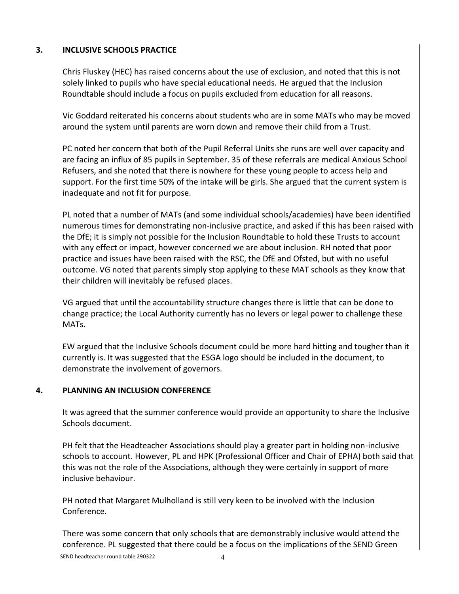## **3. INCLUSIVE SCHOOLS PRACTICE**

Chris Fluskey (HEC) has raised concerns about the use of exclusion, and noted that this is not solely linked to pupils who have special educational needs. He argued that the Inclusion Roundtable should include a focus on pupils excluded from education for all reasons.

Vic Goddard reiterated his concerns about students who are in some MATs who may be moved around the system until parents are worn down and remove their child from a Trust.

PC noted her concern that both of the Pupil Referral Units she runs are well over capacity and are facing an influx of 85 pupils in September. 35 of these referrals are medical Anxious School Refusers, and she noted that there is nowhere for these young people to access help and support. For the first time 50% of the intake will be girls. She argued that the current system is inadequate and not fit for purpose.

PL noted that a number of MATs (and some individual schools/academies) have been identified numerous times for demonstrating non-inclusive practice, and asked if this has been raised with the DfE; it is simply not possible for the Inclusion Roundtable to hold these Trusts to account with any effect or impact, however concerned we are about inclusion. RH noted that poor practice and issues have been raised with the RSC, the DfE and Ofsted, but with no useful outcome. VG noted that parents simply stop applying to these MAT schools as they know that their children will inevitably be refused places.

VG argued that until the accountability structure changes there is little that can be done to change practice; the Local Authority currently has no levers or legal power to challenge these MATs.

EW argued that the Inclusive Schools document could be more hard hitting and tougher than it currently is. It was suggested that the ESGA logo should be included in the document, to demonstrate the involvement of governors.

## **4. PLANNING AN INCLUSION CONFERENCE**

It was agreed that the summer conference would provide an opportunity to share the Inclusive Schools document.

PH felt that the Headteacher Associations should play a greater part in holding non-inclusive schools to account. However, PL and HPK (Professional Officer and Chair of EPHA) both said that this was not the role of the Associations, although they were certainly in support of more inclusive behaviour.

PH noted that Margaret Mulholland is still very keen to be involved with the Inclusion Conference.

SEND headteacher round table 290322 4 There was some concern that only schools that are demonstrably inclusive would attend the conference. PL suggested that there could be a focus on the implications of the SEND Green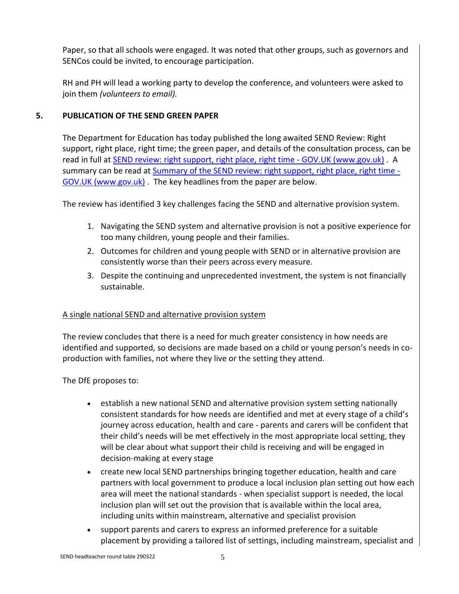Paper, so that all schools were engaged. It was noted that other groups, such as governors and SENCos could be invited, to encourage participation.

RH and PH will lead a working party to develop the conference, and volunteers were asked to join them *(volunteers to email).*

### **5. PUBLICATION OF THE SEND GREEN PAPER**

The Department for Education has today published the long awaited SEND Review: Right support, right place, right time; the green paper, and details of the consultation process, can be read in full at **SEND review: right support, right place, right time - GOV.UK (www.gov.uk)**. A summary can be read at [Summary of the SEND review: right support, right place, right time -](https://www.gov.uk/government/publications/send-and-ap-green-paper-responding-to-the-consultation/summary-of-the-send-review-right-support-right-place-right-time) [GOV.UK \(www.gov.uk\)](https://www.gov.uk/government/publications/send-and-ap-green-paper-responding-to-the-consultation/summary-of-the-send-review-right-support-right-place-right-time) . The key headlines from the paper are below.

The review has identified 3 key challenges facing the SEND and alternative provision system.

- 1. Navigating the SEND system and alternative provision is not a positive experience for too many children, young people and their families.
- 2. Outcomes for children and young people with SEND or in alternative provision are consistently worse than their peers across every measure.
- 3. Despite the continuing and unprecedented investment, the system is not financially sustainable.

### A single national SEND and alternative provision system

The review concludes that there is a need for much greater consistency in how needs are identified and supported, so decisions are made based on a child or young person's needs in coproduction with families, not where they live or the setting they attend.

The DfE proposes to:

- establish a new national SEND and alternative provision system setting nationally consistent standards for how needs are identified and met at every stage of a child's journey across education, health and care - parents and carers will be confident that their child's needs will be met effectively in the most appropriate local setting, they will be clear about what support their child is receiving and will be engaged in decision-making at every stage
- create new local SEND partnerships bringing together education, health and care partners with local government to produce a local inclusion plan setting out how each area will meet the national standards - when specialist support is needed, the local inclusion plan will set out the provision that is available within the local area, including units within mainstream, alternative and specialist provision
- support parents and carers to express an informed preference for a suitable placement by providing a tailored list of settings, including mainstream, specialist and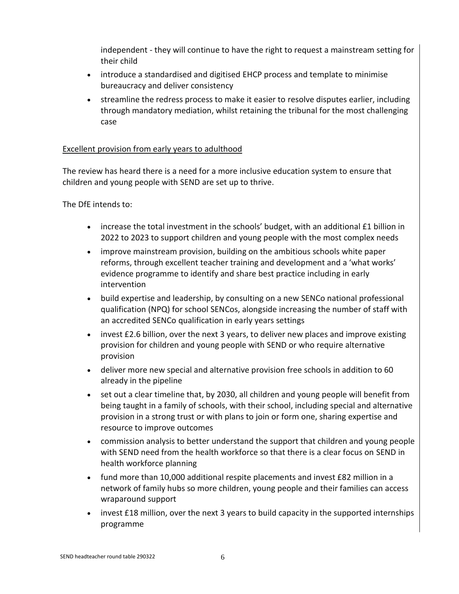independent - they will continue to have the right to request a mainstream setting for their child

- introduce a standardised and digitised EHCP process and template to minimise bureaucracy and deliver consistency
- streamline the redress process to make it easier to resolve disputes earlier, including through mandatory mediation, whilst retaining the tribunal for the most challenging case

### Excellent provision from early years to adulthood

The review has heard there is a need for a more inclusive education system to ensure that children and young people with SEND are set up to thrive.

The DfE intends to:

- increase the total investment in the schools' budget, with an additional £1 billion in 2022 to 2023 to support children and young people with the most complex needs
- improve mainstream provision, building on the ambitious schools white paper reforms, through excellent teacher training and development and a 'what works' evidence programme to identify and share best practice including in early intervention
- build expertise and leadership, by consulting on a new SENCo national professional qualification (NPQ) for school SENCos, alongside increasing the number of staff with an accredited SENCo qualification in early years settings
- invest £2.6 billion, over the next 3 years, to deliver new places and improve existing provision for children and young people with SEND or who require alternative provision
- deliver more new special and alternative provision free schools in addition to 60 already in the pipeline
- set out a clear timeline that, by 2030, all children and young people will benefit from being taught in a family of schools, with their school, including special and alternative provision in a strong trust or with plans to join or form one, sharing expertise and resource to improve outcomes
- commission analysis to better understand the support that children and young people with SEND need from the health workforce so that there is a clear focus on SEND in health workforce planning
- fund more than 10,000 additional respite placements and invest £82 million in a network of family hubs so more children, young people and their families can access wraparound support
- invest £18 million, over the next 3 years to build capacity in the supported internships programme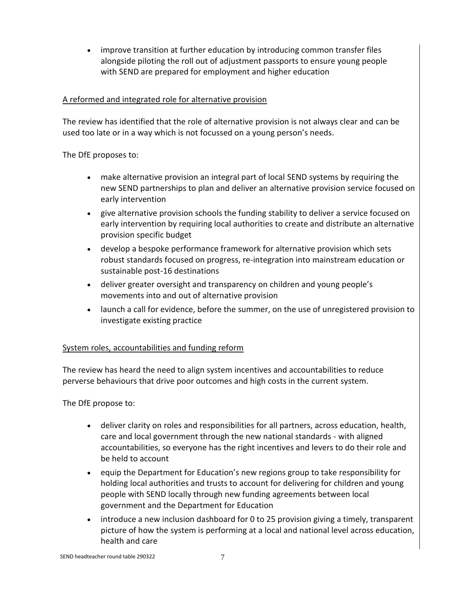improve transition at further education by introducing common transfer files alongside piloting the roll out of adjustment passports to ensure young people with SEND are prepared for employment and higher education

### A reformed and integrated role for alternative provision

The review has identified that the role of alternative provision is not always clear and can be used too late or in a way which is not focussed on a young person's needs.

The DfE proposes to:

- make alternative provision an integral part of local SEND systems by requiring the new SEND partnerships to plan and deliver an alternative provision service focused on early intervention
- give alternative provision schools the funding stability to deliver a service focused on early intervention by requiring local authorities to create and distribute an alternative provision specific budget
- develop a bespoke performance framework for alternative provision which sets robust standards focused on progress, re-integration into mainstream education or sustainable post-16 destinations
- deliver greater oversight and transparency on children and young people's movements into and out of alternative provision
- launch a call for evidence, before the summer, on the use of unregistered provision to investigate existing practice

### System roles, accountabilities and funding reform

The review has heard the need to align system incentives and accountabilities to reduce perverse behaviours that drive poor outcomes and high costs in the current system.

The DfE propose to:

- deliver clarity on roles and responsibilities for all partners, across education, health, care and local government through the new national standards - with aligned accountabilities, so everyone has the right incentives and levers to do their role and be held to account
- equip the Department for Education's new regions group to take responsibility for holding local authorities and trusts to account for delivering for children and young people with SEND locally through new funding agreements between local government and the Department for Education
- introduce a new inclusion dashboard for 0 to 25 provision giving a timely, transparent picture of how the system is performing at a local and national level across education, health and care